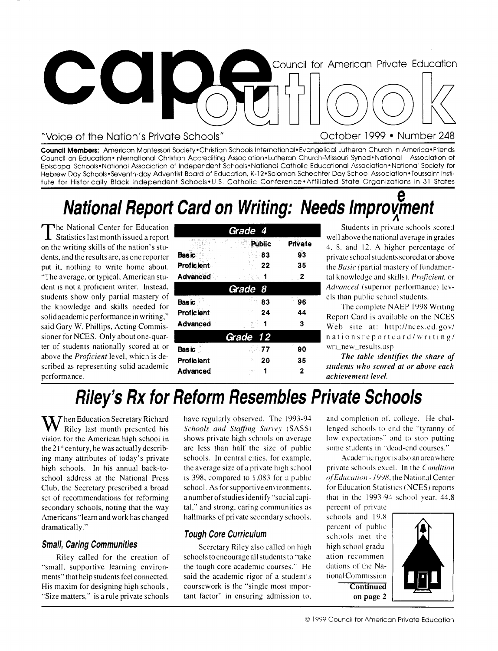

### "Voice of the Nation's Private Schools"

October 1999 • Number 248

**Council Members:** American Montessori Society• Christian Schools International• Evangelical Lutheran Church in America • Friends Council on Education•International Christian Accrediting Association• Lutheran Church-Missouri Synod•National Association of Episcopal Schools• National Association of Independent Schools• National Catholic Educational Association• National Society for Hebrew Day Schools•Seventh-day Adventist Board of Education, K-12•Solomon Schechter Day School Association•Toussaint Institute for Historically Black Independent Schools•U.S, Catholic Conference•Affiliated State Organizations in 31 States

# **National Report Card on Writing: Needs Improvment**

| The National Center for Education                                                                                                                                                                                                                                                                                                                                                                                                               | Grade 4                                       |                           |                           | Students in private schools scored                                                                                                                                                                                                     |
|-------------------------------------------------------------------------------------------------------------------------------------------------------------------------------------------------------------------------------------------------------------------------------------------------------------------------------------------------------------------------------------------------------------------------------------------------|-----------------------------------------------|---------------------------|---------------------------|----------------------------------------------------------------------------------------------------------------------------------------------------------------------------------------------------------------------------------------|
| <b>1</b> Statistics last month issued a report<br>on the writing skills of the nation's stu-<br>dents, and the results are, as one reporter<br>put it, nothing to write home about.<br>"The average, or typical, American stu-<br>dent is not a proficient writer. Instead,<br>students show only partial mastery of<br>the knowledge and skills needed for<br>solid academic performance in writing,"<br>said Gary W. Phillips, Acting Commis- | Basic<br><b>Proficient</b><br>Advanced        | <b>Public</b><br>83<br>22 | Private<br>-93<br>35<br>2 | well above the national average in grades<br>4, 8, and 12. A higher percentage of<br>private school students scored at or above<br>the <i>Basic</i> (partial mastery of fundamen-<br>tal knowledge and skills), <i>Proficient</i> , or |
|                                                                                                                                                                                                                                                                                                                                                                                                                                                 | Grade 8                                       |                           |                           | Advanced (superior performance) lev-                                                                                                                                                                                                   |
|                                                                                                                                                                                                                                                                                                                                                                                                                                                 | <b>Basic</b><br><b>Proficient</b><br>Advanced | 83<br>24                  | 96<br>44                  | els than public school students.<br>The complete NAEP 1998 Writing<br>Report Card is available on the NCES<br>Web site at: http://nces.ed.gov/                                                                                         |
| sioner for NCES. Only about one-quar-                                                                                                                                                                                                                                                                                                                                                                                                           |                                               | Grade 12                  |                           | nationsreporteard/writing/                                                                                                                                                                                                             |
| ter of students nationally scored at or<br>above the Proficient level, which is de-<br>scribed as representing solid academic<br>nerformance                                                                                                                                                                                                                                                                                                    | Bas ic<br><b>Proficient</b><br>Advanced       | 77<br>20                  | 90<br>35                  | wri_new_results.asp<br>The table identifies the share of<br>students who scored at or above each<br>achievement level                                                                                                                  |

*The table identifies the share* of *students who scored at or above each achievement level.* 

## **Riley's Rx for Reform Resembles Private Schools**

**W** hen Education Secretary Richard Riley last month presented his vision for the American high school in the  $21<sup>st</sup>$  century, he was actually describing many attributes of today's private high schools. In his annual back-toschool address at the National Press Club, the Secretary prescribed a broad set of recommendations for reforming secondary schools, noting that the way Americans "learn and work has changed dramatically."

#### **Small, Caring Communities**

Riley called for the creation of "small, supportive learning environments" that help students feel connected. His maxim for designing high schools , "Size matters," is a rule private schools

have regularly observed. The 1993-94 Schools and Staffing Survey (SASS) shows private high schools on average are less than half the size of public schools. In central cities, for example, the average size of a private high school is 398, compared to 1.083 for a public school. As for supportive environments. a number of studies identify "social capital," and strong, caring communities as hallmarks of private secondary schools.

### **Tough Core Curriculum**

Secretary Riley also called on high schools to encourage all students to "take the tough core academic courses." He said the academic rigor of a student's coursework is the "single most important factor" in ensuring admission to,

and completion of. college. He challenged schools to end the "tyranny of low expectations" and to stop putting some students in "dead-end courses."

Academic rigor is also an area where private schools excel. In the Condition of Education - 1998, the National Center for Education Statistics (NCES) reports that in the 1993-94 school year, 44.8

percent of private schools and 19.8 percent of public schools met the high school graduation recommendations of the National Commission **Continued on page** 2

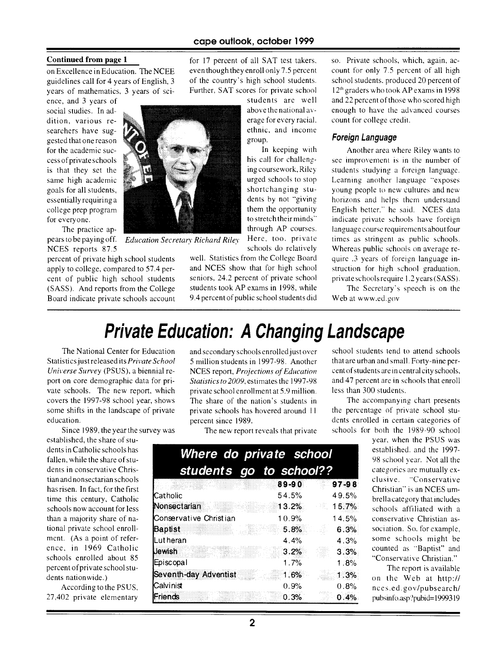for 17 percent of all SAT test takers, even though they enroll only 7.5 percent of the country's high school students. Further, SAT scores for private school

In keeping with

them the opportunity to stretch their minds" through AP courses. Here, too, private

#### Continued from page 1

on Excellence in Education. The NCEE guidelines call for 4 years of English, 3 years of mathematics, 3 years of sci-

ence, and 3 years of social studies. In addition, various researchers have suggested that one reason for the academic success of private schools is that they set the same high academic goals for all students, essentially requiring a college prep program for everyone.

The practice ap-NCES reports 87.5

percent of private high school students apply to college, compared to 57.4 percent of public high school students (SASS). And reports from the College Board indicate private schools account



*Education Secretary Richard Riley*  pears to be paying off.

schools do relatively well. Statistics from the College Board and NCES show that for high school seniors, 24.2 percent of private school students took AP exams in 1998, while 9.4 percent of public school students did so. Private schools, which, again, account for only 7.5 percent of all high school students, produced 20 percent of 12th graders who took AP exams in 1998 and 22 percent of those who scored high enough to have the advanced courses count for college credit.

#### Foreign Language

Another area where Riley wants to see improvement is in the number of students studying a foreign language. Learning another language "exposes young people to new cultures and new horizons and helps them understand English better." he said. NCES data indicate private schools have foreign language course requirements about four times as stringent as public schools. Whereas public schools on average require .3 years of foreign language instruction for high school graduation, private schools require 1.2years(SASS).

The Secretary's speech is on the Web at www.ed.gov

### Private Education: A Changing Landscape

The National Center for Educatior Statistics just released its *Private Schoo*  Universe Survey (PSUS), a biennial report on core demographic data for private schools. The new report, which covers the 1997-98 school year, shows some shifts in the landscape of private education.

Since 1989, the year the survey way

established, the share of students in Catholic schools has fallen, while the share of students in conservative Christian and nonsectarian schools has risen. In fact, for the first time this century, Catholic schools now account for less than a majority share of national private school enrollment. (As a point of reference, in 1969 Catholic schools enrolled about 85<br>percent of private school students nationwide.)

According to the PSUS,  $27,402$  private elementary

and secondary schools enrolled just over 5 million students in 1997-98. Another NCES report, *Projections of Education*  Statistics to 2009, estimates the 1997-98 private school enrollment at 5.9 million. The share of the nation's students in private schools has hovered around I I percent since 1989.

The new report reveals that private

| Where do private school |       |                                     |
|-------------------------|-------|-------------------------------------|
| students go to school?? |       |                                     |
|                         | 89-90 | $97 - 96$                           |
| Catholic                | 54.5% | 49.5%                               |
| Nonsectarian            | 13.2% | $\mathcal{A}(\mathcal{U})$<br>15.7% |
| Conservative Christian  | 10.9% | 14.5%                               |
| Baptist                 | 5.8%  | 6.3%                                |
| Lut heran               | 4.4%  | 4.3%                                |
| Jewish                  | 3.2%  | 3.3%                                |
| Episcopal               | 1.7%  | 1.8%                                |
| Seventh-day Adventist   | 1.6%  | 1.3%                                |
| Calvinist               | 0.9%  | 0.8%                                |
| Friends                 | 0.3%  | 0.4%                                |

school students tend to attend schools that are urban and small. Forty-nine percent of students are in central city schools, and 47 percent are in schools that enroll less than 300 students.

The accompanying chart presents the percentage of private school students enrolled in certain categories of schools for both the 1989-90 school

> year, when the PSUS was established, and the 1997- 98 school year. Not all the categories are mutually exclusive. "Conservative Christian" is an NCES umbrella category that includes schools affiliated with a conservative Christian association. So, for example, some schools might be counted as "Baptist" and "Conservative Christian."

> The report is available on the Web at http:// nces.ed.gov/pubsearch/ pubsinfo.asp?pubid=1999319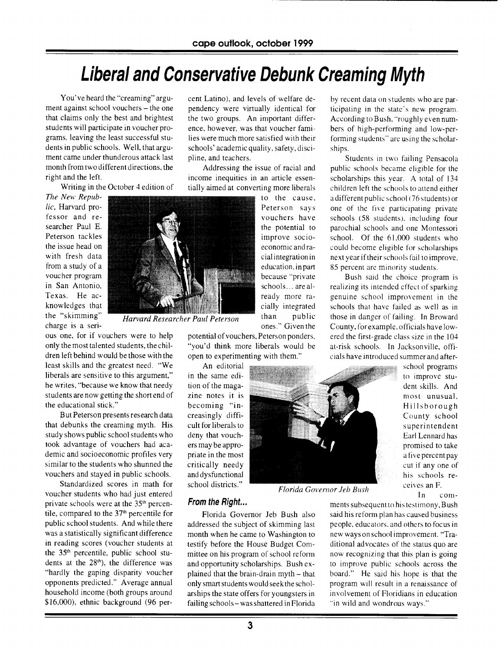## **Liberal and Conservative Debunk Creaming Myth**

You've heard the "creaming" argument against school vouchers — the one that claims only the best and brightest students will participate in voucher programs, leaving the least successful students in public schools. Well, that argument came under thunderous attack last month from two different directions, the right and the left.

Writing in the October 4 edition of

*The New Republic,* Harvard professor and researcher Paul E. Peterson tackles the issue head on with fresh data from a study of a voucher program in San Antonio, Texas. He acknowledges that the "skimming" charge is a seri-

*Harvard Researcher Paul Peterson* 

ous one, for if vouchers were to help only the most talented students, the children left behind would be those with the least skills and the greatest need. "We liberals are sensitive to this argument," he writes, "because we know that needy students are now getting the short end of the educational stick."

But Peterson presents research data that debunks the creaming myth. His study shows public school students who took advantage of vouchers had academic and socioeconomic profiles very similar to the students who shunned the vouchers and stayed in public schools.

Standardized scores in math for voucher students who had just entered private schools were at the 35<sup>th</sup> percentile, compared to the  $37<sup>th</sup>$  percentile for public school students. And while there was a statistically significant difference in reading scores (voucher students at the 35<sup>th</sup> percentile, public school students at the  $28<sup>th</sup>$ ), the difference was "hardly the gaping disparity voucher opponents predicted." Average annual household income (both groups around \$16,000), ethnic background (96 percent Latino), and levels of welfare dependency were virtually identical for the two groups. An important difference, however, was that voucher families were much more satisfied with their schools' academic quality, safety, discipline, and teachers.

Addressing the issue of racial and income inequities in an article essentially aimed at converting more liberals

> to the cause. Peterson says vouchers have the potential to improve socioeconomic and racial integration in education, in part because "private schools... are already more racially integrated than public ones." Given the

potential of vouchers, Peterson ponders, "you'd think more liberals would be open to experimenting with them."

An editorial in the same edition of the magazine notes it is becoming "increasingly difficult for liberals to deny that vouchers may be appropriate in the most critically needy and dysfunctional school districts."



by recent data on students who are participating in the state's new program. According to Bush, "roughly even numbers of high-performing and low-performing students" are using the scholarships.

Students in two failing Pensacola public schools became eligible for the scholarships this year. A total of 134 children left the schools to attend either a different public school (76 students) or one of the five participating private schools (58 students), including four parochial schools and one Montessori school. Of the 61.000 students who could become eligible for scholarships next year if their schools fail to improve, 85 percent are minority students.

Bush said the choice program is realizing its intended effect of sparking genuine school improvement in the schools that have failed as well as in those in danger of failing. In Broward County, forexample, officials have lowered the first-grade class size in the 104 at-risk schools. In Jacksonville, officials have introduced summer and after-

> school programs to improve student skills. And most unusual, Hillsborough County school superintendent Earl Lennard has promised to take a five percent pay cut if any one of his schools receives an F. In com-

*Florida Governor Jeb Bush* 

#### **From the Right...**

Florida Governor Jeb Bush also addressed the subject of skimming last month when he came to Washington to testify before the House Budget Committee on his program of school reform and opportunity scholarships. Bush explained that the brain-drain myth — that only smart students would seek the scholarships the state offers for youngsters in failing schools— was shattered in Florida

ments subsequent to his testimony, Bush said his reform plan has caused business people, educators, and others to focus in new ways on school improvement. "Traditional advocates of the status quo are now recognizing that this plan is going to improve public schools across the board." He said his hope is that the program will result in a renaissance of involvement of Floridians in education "in wild and wondrous ways."